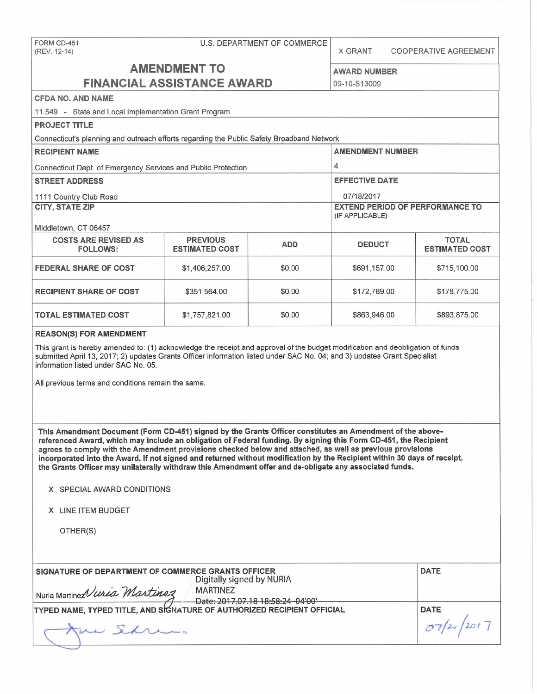### FORM CD-451 U.S. DEPARTMENT OF COMMERCE

(REV. 12-14) X GRANT COOPERATIVE AGREEMENT

# **AMENDMENT TO** AWARD NUMBER **FINANCIAL ASSISTANCE AWARD** 09-10-S13009

**CFDA NO. AND NAME** 

11.549 - State and Local Implementation Grant Program

| <b>PROJECT TITLE</b>                                                                      |                                          |            |                                                           |                                       |  |
|-------------------------------------------------------------------------------------------|------------------------------------------|------------|-----------------------------------------------------------|---------------------------------------|--|
| Connecticut's planning and outreach efforts regarding the Public Safety Broadband Network |                                          |            |                                                           |                                       |  |
| <b>RECIPIENT NAME</b>                                                                     |                                          |            | <b>AMENDMENT NUMBER</b>                                   |                                       |  |
| Connecticut Dept. of Emergency Services and Public Protection                             | 4                                        |            |                                                           |                                       |  |
| <b>STREET ADDRESS</b>                                                                     | <b>EFFECTIVE DATE</b>                    |            |                                                           |                                       |  |
| 1111 Country Club Road                                                                    | 07/18/2017                               |            |                                                           |                                       |  |
| <b>CITY, STATE ZIP</b>                                                                    |                                          |            | <b>EXTEND PERIOD OF PERFORMANCE TO</b><br>(IF APPLICABLE) |                                       |  |
| Middletown, CT 06457                                                                      |                                          |            |                                                           |                                       |  |
| <b>COSTS ARE REVISED AS</b><br><b>FOLLOWS:</b>                                            | <b>PREVIOUS</b><br><b>ESTIMATED COST</b> | <b>ADD</b> | <b>DEDUCT</b>                                             | <b>TOTAL</b><br><b>ESTIMATED COST</b> |  |
| <b>FEDERAL SHARE OF COST</b>                                                              | \$1,406,257.00                           | \$0.00     | \$691,157.00                                              | \$715,100.00                          |  |
| <b>RECIPIENT SHARE OF COST</b>                                                            | \$351,564.00                             | \$0.00     | \$172,789.00                                              | \$178,775.00                          |  |
| <b>TOTAL ESTIMATED COST</b>                                                               | \$1,757,821.00                           | \$0.00     | \$863,946.00                                              | \$893,875.00                          |  |
|                                                                                           |                                          |            |                                                           |                                       |  |

#### **REASON(\$) FOR AMENDMENT**

This grant is hereby amended to: (1) acknowledge the receipt and approval of the budget modification and deobligation of funds submitted April 13, 2017; 2) updates Grants Officer information listed under SAC No. 04; and 3) updates Grant Specialist information listed under SAC No. 05.

All previous terms and conditions remain the same.

**This Amendment Document (Form CD-451) signed by the Grants Officer constitutes an Amendment of the abovereferenced Award, which may include an obligation of Federal funding. By signing this Form CD-451, the Recipient agrees to comply with the Amendment provisions checked below and attached, as well as previous provisions incorporated into the Award. If not signed and returned without modification by the Recipient within 30 days of receipt, the Grants Officer may unilaterally withdraw this Amendment offer and de-obligate any associated funds.** 

- **X** SPECIAL AWARD CONDITIONS
- **X** LINE ITEM BUDGET

OTHER(S)

| SIGNATURE OF DEPARTMENT OF COMMERCE GRANTS OFFICER<br>Digitally signed by NURIA |                                                      | <b>DATE</b> |
|---------------------------------------------------------------------------------|------------------------------------------------------|-------------|
| Nuria Martine Vieria Martinez                                                   | <b>MARTINEZ</b><br>Date: 2017.07.18 18:58:24 -04'00' |             |
| <b>TYPED NAME, TYPED TITLE, AND SIGNATURE OF AUTHORIZED RECIPIENT OFFICIAL</b>  | <b>DATE</b>                                          |             |
|                                                                                 |                                                      |             |
|                                                                                 |                                                      |             |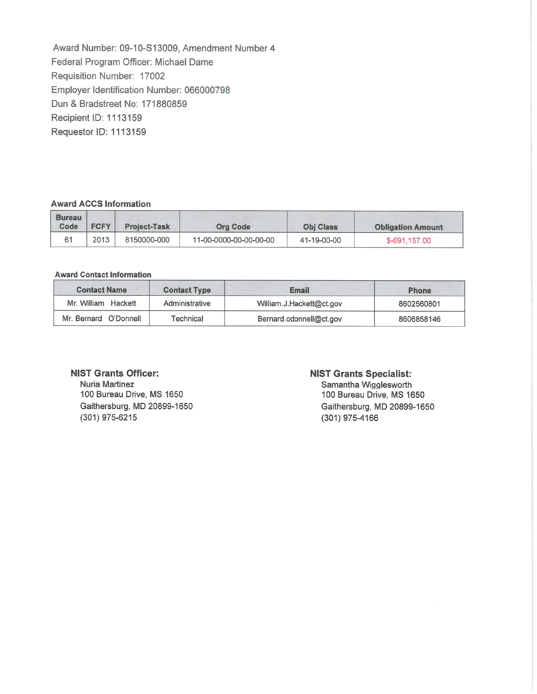Award Number: 09-10-S13009, Amendment Number4 Federal Program Officer: Michael Dame Requisition Number: 17002 Employer Identification Number: 066000798 Dun & Bradstreet No: 171880859 Recipient ID: 1113159 Requestor ID: 1113159

#### **Award ACCS Information**

| <b>Bureau</b><br>Code | <b>FCFY</b> | <b>Project-Task</b> | <b>Org Code</b>        | <b>Obi Class</b> | <b>Obligation Amount</b> |
|-----------------------|-------------|---------------------|------------------------|------------------|--------------------------|
|                       | 2013        | 8150000-000         | 11-00-0000-00-00-00-00 | 41-19-00-00      | \$-691.157.00            |

#### **Award Contact Information**

| <b>Contact Name</b>   | <b>Contact Type</b> | <b>Email</b>             | <b>Phone</b> |
|-----------------------|---------------------|--------------------------|--------------|
| Mr. William Hackett   | Administrative      | William.J.Hackett@ct.gov | 8602560801   |
| Mr. Bernard O'Donnell | Technical           | Bernard.odonnell@ct.gov  | 8606858146   |

#### **NIST Grants Officer:**

Nuria Martinez 100 Bureau Drive, MS 1650 Gaithersburg, MD 20899-1650 (301) 975-6215

#### **NIST Grants Specialist:**

Samantha Wigglesworth 100 Bureau Drive, MS 1650 Gaithersburg, MD 20899-1650 (301) 975-4166